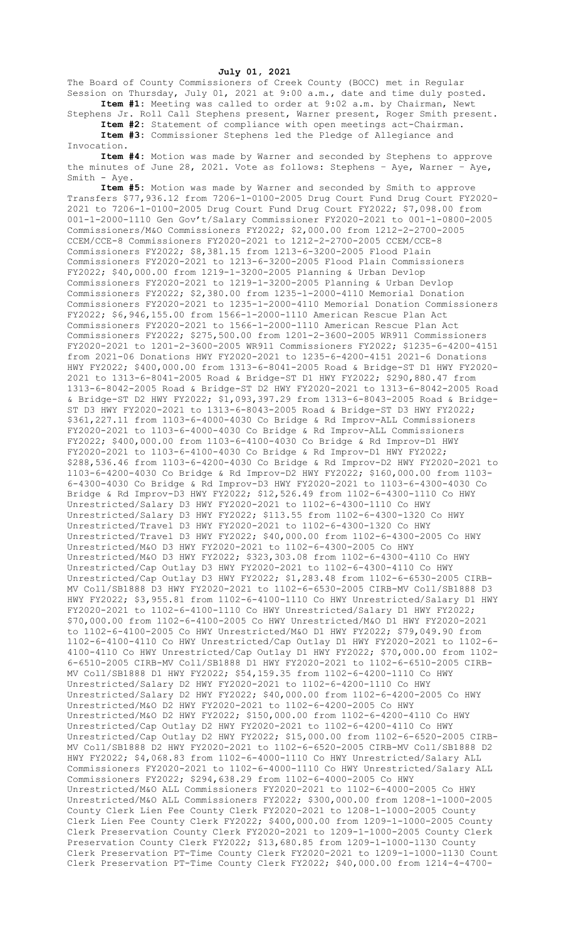## **July 01, 2021**

The Board of County Commissioners of Creek County (BOCC) met in Regular Session on Thursday, July 01, 2021 at 9:00 a.m., date and time duly posted. **Item #1:** Meeting was called to order at 9:02 a.m. by Chairman, Newt

Stephens Jr. Roll Call Stephens present, Warner present, Roger Smith present. **Item #2:** Statement of compliance with open meetings act-Chairman.

**Item #3:** Commissioner Stephens led the Pledge of Allegiance and Invocation.

**Item #4:** Motion was made by Warner and seconded by Stephens to approve the minutes of June 28, 2021. Vote as follows: Stephens – Aye, Warner – Aye, Smith - Aye.

**Item #5:** Motion was made by Warner and seconded by Smith to approve Transfers \$77,936.12 from 7206-1-0100-2005 Drug Court Fund Drug Court FY2020- 2021 to 7206-1-0100-2005 Drug Court Fund Drug Court FY2022; \$7,098.00 from 001-1-2000-1110 Gen Gov't/Salary Commissioner FY2020-2021 to 001-1-0800-2005 Commissioners/M&O Commissioners FY2022; \$2,000.00 from 1212-2-2700-2005 CCEM/CCE-8 Commissioners FY2020-2021 to 1212-2-2700-2005 CCEM/CCE-8 Commissioners FY2022; \$8,381.15 from 1213-6-3200-2005 Flood Plain Commissioners FY2020-2021 to 1213-6-3200-2005 Flood Plain Commissioners FY2022; \$40,000.00 from 1219-1-3200-2005 Planning & Urban Devlop Commissioners FY2020-2021 to 1219-1-3200-2005 Planning & Urban Devlop Commissioners FY2022; \$2,380.00 from 1235-1-2000-4110 Memorial Donation Commissioners FY2020-2021 to 1235-1-2000-4110 Memorial Donation Commissioners FY2022; \$6,946,155.00 from 1566-1-2000-1110 American Rescue Plan Act Commissioners FY2020-2021 to 1566-1-2000-1110 American Rescue Plan Act Commissioners FY2022; \$275,500.00 from 1201-2-3600-2005 WR911 Commissioners FY2020-2021 to 1201-2-3600-2005 WR911 Commissioners FY2022; \$1235-6-4200-4151 from 2021-06 Donations HWY FY2020-2021 to 1235-6-4200-4151 2021-6 Donations HWY FY2022; \$400,000.00 from 1313-6-8041-2005 Road & Bridge-ST D1 HWY FY2020- 2021 to 1313-6-8041-2005 Road & Bridge-ST D1 HWY FY2022; \$290,880.47 from 1313-6-8042-2005 Road & Bridge-ST D2 HWY FY2020-2021 to 1313-6-8042-2005 Road & Bridge-ST D2 HWY FY2022; \$1,093,397.29 from 1313-6-8043-2005 Road & Bridge-ST D3 HWY FY2020-2021 to 1313-6-8043-2005 Road & Bridge-ST D3 HWY FY2022; \$361,227.11 from 1103-6-4000-4030 Co Bridge & Rd Improv-ALL Commissioners FY2020-2021 to 1103-6-4000-4030 Co Bridge & Rd Improv-ALL Commissioners FY2022; \$400,000.00 from 1103-6-4100-4030 Co Bridge & Rd Improv-D1 HWY FY2020-2021 to 1103-6-4100-4030 Co Bridge & Rd Improv-D1 HWY FY2022; \$288,536.46 from 1103-6-4200-4030 Co Bridge & Rd Improv-D2 HWY FY2020-2021 to 1103-6-4200-4030 Co Bridge & Rd Improv-D2 HWY FY2022; \$160,000.00 from 1103- 6-4300-4030 Co Bridge & Rd Improv-D3 HWY FY2020-2021 to 1103-6-4300-4030 Co Bridge & Rd Improv-D3 HWY FY2022; \$12,526.49 from 1102-6-4300-1110 Co HWY Unrestricted/Salary D3 HWY FY2020-2021 to 1102-6-4300-1110 Co HWY Unrestricted/Salary D3 HWY FY2022; \$113.55 from 1102-6-4300-1320 Co HWY Unrestricted/Travel D3 HWY FY2020-2021 to 1102-6-4300-1320 Co HWY Unrestricted/Travel D3 HWY FY2022; \$40,000.00 from 1102-6-4300-2005 Co HWY Unrestricted/M&O D3 HWY FY2020-2021 to 1102-6-4300-2005 Co HWY Unrestricted/M&O D3 HWY FY2022; \$323,303.08 from 1102-6-4300-4110 Co HWY Unrestricted/Cap Outlay D3 HWY FY2020-2021 to 1102-6-4300-4110 Co HWY Unrestricted/Cap Outlay D3 HWY FY2022; \$1,283.48 from 1102-6-6530-2005 CIRB-MV Coll/SB1888 D3 HWY FY2020-2021 to 1102-6-6530-2005 CIRB-MV Coll/SB1888 D3 HWY FY2022; \$3,955.81 from 1102-6-4100-1110 Co HWY Unrestricted/Salary D1 HWY FY2020-2021 to 1102-6-4100-1110 Co HWY Unrestricted/Salary D1 HWY FY2022; \$70,000.00 from 1102-6-4100-2005 Co HWY Unrestricted/M&O D1 HWY FY2020-2021 to 1102-6-4100-2005 Co HWY Unrestricted/M&O D1 HWY FY2022; \$79,049.90 from 1102-6-4100-4110 Co HWY Unrestricted/Cap Outlay D1 HWY FY2020-2021 to 1102-6- 4100-4110 Co HWY Unrestricted/Cap Outlay D1 HWY FY2022; \$70,000.00 from 1102- 6-6510-2005 CIRB-MV Coll/SB1888 D1 HWY FY2020-2021 to 1102-6-6510-2005 CIRB-MV Coll/SB1888 D1 HWY FY2022; \$54,159.35 from 1102-6-4200-1110 Co HWY Unrestricted/Salary D2 HWY FY2020-2021 to 1102-6-4200-1110 Co HWY Unrestricted/Salary D2 HWY FY2022; \$40,000.00 from 1102-6-4200-2005 Co HWY Unrestricted/M&O D2 HWY FY2020-2021 to 1102-6-4200-2005 Co HWY Unrestricted/M&O D2 HWY FY2022; \$150,000.00 from 1102-6-4200-4110 Co HWY Unrestricted/Cap Outlay D2 HWY FY2020-2021 to 1102-6-4200-4110 Co HWY Unrestricted/Cap Outlay D2 HWY FY2022; \$15,000.00 from 1102-6-6520-2005 CIRB-MV Coll/SB1888 D2 HWY FY2020-2021 to 1102-6-6520-2005 CIRB-MV Coll/SB1888 D2 HWY FY2022; \$4,068.83 from 1102-6-4000-1110 Co HWY Unrestricted/Salary ALL Commissioners FY2020-2021 to 1102-6-4000-1110 Co HWY Unrestricted/Salary ALL Commissioners FY2022; \$294,638.29 from 1102-6-4000-2005 Co HWY Unrestricted/M&O ALL Commissioners FY2020-2021 to 1102-6-4000-2005 Co HWY Unrestricted/M&O ALL Commissioners FY2022; \$300,000.00 from 1208-1-1000-2005 County Clerk Lien Fee County Clerk FY2020-2021 to 1208-1-1000-2005 County Clerk Lien Fee County Clerk FY2022; \$400,000.00 from 1209-1-1000-2005 County Clerk Preservation County Clerk FY2020-2021 to 1209-1-1000-2005 County Clerk Preservation County Clerk FY2022; \$13,680.85 from 1209-1-1000-1130 County Clerk Preservation PT-Time County Clerk FY2020-2021 to 1209-1-1000-1130 Count Clerk Preservation PT-Time County Clerk FY2022; \$40,000.00 from 1214-4-4700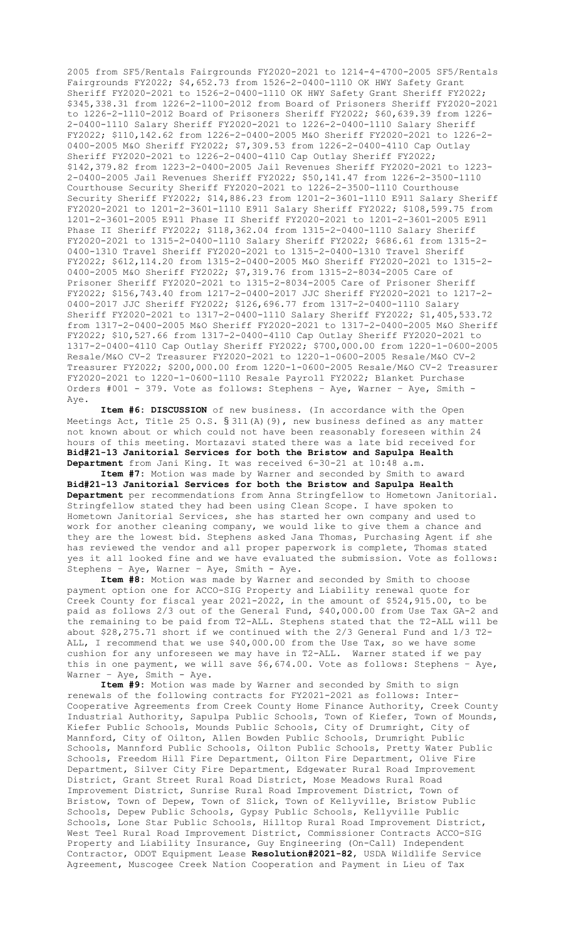2005 from SF5/Rentals Fairgrounds FY2020-2021 to 1214-4-4700-2005 SF5/Rentals Fairgrounds FY2022; \$4,652.73 from 1526-2-0400-1110 OK HWY Safety Grant Sheriff FY2020-2021 to 1526-2-0400-1110 OK HWY Safety Grant Sheriff FY2022; \$345,338.31 from 1226-2-1100-2012 from Board of Prisoners Sheriff FY2020-2021 to 1226-2-1110-2012 Board of Prisoners Sheriff FY2022; \$60,639.39 from 1226- 2-0400-1110 Salary Sheriff FY2020-2021 to 1226-2-0400-1110 Salary Sheriff FY2022; \$110,142.62 from 1226-2-0400-2005 M&O Sheriff FY2020-2021 to 1226-2- 0400-2005 M&O Sheriff FY2022; \$7,309.53 from 1226-2-0400-4110 Cap Outlay Sheriff FY2020-2021 to 1226-2-0400-4110 Cap Outlay Sheriff FY2022; \$142,379.82 from 1223-2-0400-2005 Jail Revenues Sheriff FY2020-2021 to 1223- 2-0400-2005 Jail Revenues Sheriff FY2022; \$50,141.47 from 1226-2-3500-1110 Courthouse Security Sheriff FY2020-2021 to 1226-2-3500-1110 Courthouse Security Sheriff FY2022; \$14,886.23 from 1201-2-3601-1110 E911 Salary Sheriff FY2020-2021 to 1201-2-3601-1110 E911 Salary Sheriff FY2022; \$108,599.75 from 1201-2-3601-2005 E911 Phase II Sheriff FY2020-2021 to 1201-2-3601-2005 E911 Phase II Sheriff FY2022; \$118,362.04 from 1315-2-0400-1110 Salary Sheriff FY2020-2021 to 1315-2-0400-1110 Salary Sheriff FY2022; \$686.61 from 1315-2- 0400-1310 Travel Sheriff FY2020-2021 to 1315-2-0400-1310 Travel Sheriff FY2022; \$612,114.20 from 1315-2-0400-2005 M&O Sheriff FY2020-2021 to 1315-2- 0400-2005 M&O Sheriff FY2022; \$7,319.76 from 1315-2-8034-2005 Care of Prisoner Sheriff FY2020-2021 to 1315-2-8034-2005 Care of Prisoner Sheriff FY2022; \$156,743.40 from 1217-2-0400-2017 JJC Sheriff FY2020-2021 to 1217-2- 0400-2017 JJC Sheriff FY2022; \$126,696.77 from 1317-2-0400-1110 Salary Sheriff FY2020-2021 to 1317-2-0400-1110 Salary Sheriff FY2022; \$1,405,533.72 from 1317-2-0400-2005 M&O Sheriff FY2020-2021 to 1317-2-0400-2005 M&O Sheriff FY2022; \$10,527.66 from 1317-2-0400-4110 Cap Outlay Sheriff FY2020-2021 to 1317-2-0400-4110 Cap Outlay Sheriff FY2022; \$700,000.00 from 1220-1-0600-2005 Resale/M&O CV-2 Treasurer FY2020-2021 to 1220-1-0600-2005 Resale/M&O CV-2 Treasurer FY2022; \$200,000.00 from 1220-1-0600-2005 Resale/M&O CV-2 Treasurer FY2020-2021 to 1220-1-0600-1110 Resale Payroll FY2022; Blanket Purchase Orders #001 - 379. Vote as follows: Stephens - Aye, Warner - Aye, Smith Aye.

**Item #6: DISCUSSION** of new business. (In accordance with the Open Meetings Act, Title 25 O.S. § 311(A)(9), new business defined as any matter not known about or which could not have been reasonably foreseen within 24 hours of this meeting. Mortazavi stated there was a late bid received for **Bid#21-13 Janitorial Services for both the Bristow and Sapulpa Health Department** from Jani King. It was received 6-30-21 at 10:48 a.m.

**Item #7:** Motion was made by Warner and seconded by Smith to award **Bid#21-13 Janitorial Services for both the Bristow and Sapulpa Health Department** per recommendations from Anna Stringfellow to Hometown Janitorial. Stringfellow stated they had been using Clean Scope. I have spoken to Hometown Janitorial Services, she has started her own company and used to work for another cleaning company, we would like to give them a chance and they are the lowest bid. Stephens asked Jana Thomas, Purchasing Agent if she has reviewed the vendor and all proper paperwork is complete, Thomas stated yes it all looked fine and we have evaluated the submission. Vote as follows: Stephens – Aye, Warner – Aye, Smith - Aye.

**Item #8:** Motion was made by Warner and seconded by Smith to choose payment option one for ACCO-SIG Property and Liability renewal quote for Creek County for fiscal year 2021-2022, in the amount of \$524,915.00, to be paid as follows 2/3 out of the General Fund, \$40,000.00 from Use Tax GA-2 and the remaining to be paid from T2-ALL. Stephens stated that the T2-ALL will be about \$28,275.71 short if we continued with the 2/3 General Fund and 1/3 T2- ALL, I recommend that we use \$40,000.00 from the Use Tax, so we have some cushion for any unforeseen we may have in T2-ALL. Warner stated if we pay this in one payment, we will save \$6,674.00. Vote as follows: Stephens – Aye, Warner – Aye, Smith - Aye.

**Item #9:** Motion was made by Warner and seconded by Smith to sign renewals of the following contracts for FY2021-2021 as follows: Inter-Cooperative Agreements from Creek County Home Finance Authority, Creek County Industrial Authority, Sapulpa Public Schools, Town of Kiefer, Town of Mounds, Kiefer Public Schools, Mounds Public Schools, City of Drumright, City of Mannford, City of Oilton, Allen Bowden Public Schools, Drumright Public Schools, Mannford Public Schools, Oilton Public Schools, Pretty Water Public Schools, Freedom Hill Fire Department, Oilton Fire Department, Olive Fire Department, Silver City Fire Department, Edgewater Rural Road Improvement District, Grant Street Rural Road District, Mose Meadows Rural Road Improvement District, Sunrise Rural Road Improvement District, Town of Bristow, Town of Depew, Town of Slick, Town of Kellyville, Bristow Public Schools, Depew Public Schools, Gypsy Public Schools, Kellyville Public Schools, Lone Star Public Schools, Hilltop Rural Road Improvement District, West Teel Rural Road Improvement District, Commissioner Contracts ACCO-SIG Property and Liability Insurance, Guy Engineering (On-Call) Independent Contractor, ODOT Equipment Lease **Resolution#2021-82**, USDA Wildlife Service Agreement, Muscogee Creek Nation Cooperation and Payment in Lieu of Tax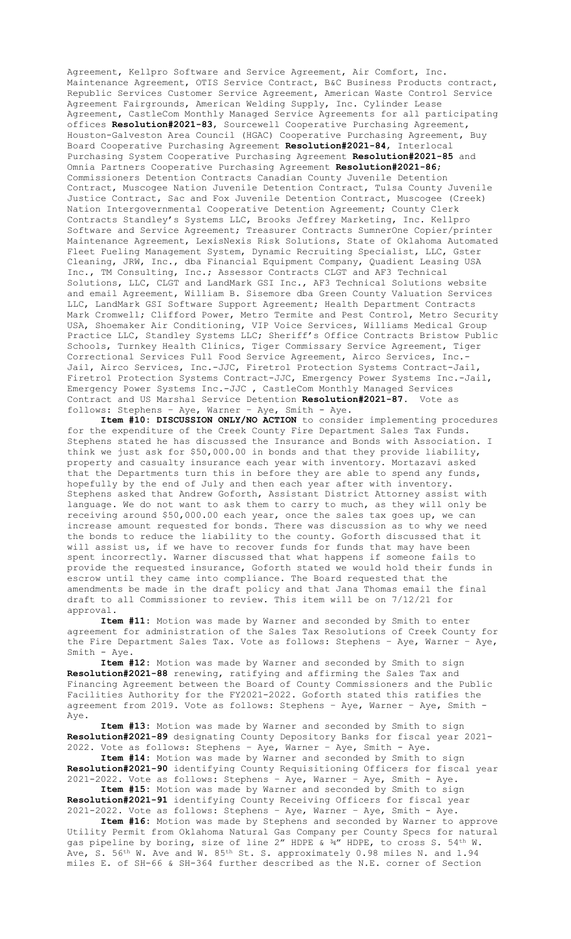Agreement, Kellpro Software and Service Agreement, Air Comfort, Inc. Maintenance Agreement, OTIS Service Contract, B&C Business Products contract, Republic Services Customer Service Agreement, American Waste Control Service Agreement Fairgrounds, American Welding Supply, Inc. Cylinder Lease Agreement, CastleCom Monthly Managed Service Agreements for all participating offices **Resolution#2021-83**, Sourcewell Cooperative Purchasing Agreement, Houston-Galveston Area Council (HGAC) Cooperative Purchasing Agreement, Buy Board Cooperative Purchasing Agreement **Resolution#2021-84**, Interlocal Purchasing System Cooperative Purchasing Agreement **Resolution#2021-85** and Omnia Partners Cooperative Purchasing Agreement **Resolution#2021-86**; Commissioners Detention Contracts Canadian County Juvenile Detention Contract, Muscogee Nation Juvenile Detention Contract, Tulsa County Juvenile Justice Contract, Sac and Fox Juvenile Detention Contract, Muscogee (Creek) Nation Intergovernmental Cooperative Detention Agreement; County Clerk Contracts Standley's Systems LLC, Brooks Jeffrey Marketing, Inc. Kellpro Software and Service Agreement; Treasurer Contracts SumnerOne Copier/printer Maintenance Agreement, LexisNexis Risk Solutions, State of Oklahoma Automated Fleet Fueling Management System, Dynamic Recruiting Specialist, LLC, Gster Cleaning, JRW, Inc., dba Financial Equipment Company, Quadient Leasing USA Inc., TM Consulting, Inc.; Assessor Contracts CLGT and AF3 Technical Solutions, LLC, CLGT and LandMark GSI Inc., AF3 Technical Solutions website and email Agreement, William B. Sisemore dba Green County Valuation Services LLC, LandMark GSI Software Support Agreement; Health Department Contracts Mark Cromwell; Clifford Power, Metro Termite and Pest Control, Metro Security USA, Shoemaker Air Conditioning, VIP Voice Services, Williams Medical Group Practice LLC, Standley Systems LLC; Sheriff's Office Contracts Bristow Public Schools, Turnkey Health Clinics, Tiger Commissary Service Agreement, Tiger Correctional Services Full Food Service Agreement, Airco Services, Inc.- Jail, Airco Services, Inc.-JJC, Firetrol Protection Systems Contract-Jail, Firetrol Protection Systems Contract-JJC, Emergency Power Systems Inc.-Jail, Emergency Power Systems Inc.-JJC , CastleCom Monthly Managed Services Contract and US Marshal Service Detention **Resolution#2021-87**. Vote as follows: Stephens – Aye, Warner – Aye, Smith - Aye.

**Item #10: DISCUSSION ONLY/NO ACTION** to consider implementing procedures for the expenditure of the Creek County Fire Department Sales Tax Funds. Stephens stated he has discussed the Insurance and Bonds with Association. I think we just ask for \$50,000.00 in bonds and that they provide liability, property and casualty insurance each year with inventory. Mortazavi asked that the Departments turn this in before they are able to spend any funds, hopefully by the end of July and then each year after with inventory. Stephens asked that Andrew Goforth, Assistant District Attorney assist with language. We do not want to ask them to carry to much, as they will only be receiving around \$50,000.00 each year, once the sales tax goes up, we can increase amount requested for bonds. There was discussion as to why we need the bonds to reduce the liability to the county. Goforth discussed that it will assist us, if we have to recover funds for funds that may have been spent incorrectly. Warner discussed that what happens if someone fails to provide the requested insurance, Goforth stated we would hold their funds in escrow until they came into compliance. The Board requested that the amendments be made in the draft policy and that Jana Thomas email the final draft to all Commissioner to review. This item will be on 7/12/21 for approval.

**Item #11:** Motion was made by Warner and seconded by Smith to enter agreement for administration of the Sales Tax Resolutions of Creek County for the Fire Department Sales Tax. Vote as follows: Stephens – Aye, Warner – Aye, Smith - Aye.

**Item #12:** Motion was made by Warner and seconded by Smith to sign **Resolution#2021-88** renewing, ratifying and affirming the Sales Tax and Financing Agreement between the Board of County Commissioners and the Public Facilities Authority for the FY2021-2022. Goforth stated this ratifies the agreement from 2019. Vote as follows: Stephens - Aye, Warner - Aye, Smith -Aye.

**Item #13:** Motion was made by Warner and seconded by Smith to sign **Resolution#2021-89** designating County Depository Banks for fiscal year 2021- 2022. Vote as follows: Stephens – Aye, Warner – Aye, Smith - Aye.

**Item #14:** Motion was made by Warner and seconded by Smith to sign **Resolution#2021-90** identifying County Requisitioning Officers for fiscal year 2021-2022. Vote as follows: Stephens – Aye, Warner – Aye, Smith - Aye.

**Item #15:** Motion was made by Warner and seconded by Smith to sign **Resolution#2021-91** identifying County Receiving Officers for fiscal year 2021-2022. Vote as follows: Stephens – Aye, Warner – Aye, Smith - Aye.

**Item #16:** Motion was made by Stephens and seconded by Warner to approve Utility Permit from Oklahoma Natural Gas Company per County Specs for natural gas pipeline by boring, size of line 2" HDPE &  $\frac{2}{3}$ " HDPE, to cross S. 54<sup>th</sup> W. Ave, S. 56<sup>th</sup> W. Ave and W. 85<sup>th</sup> St. S. approximately 0.98 miles N. and 1.94 miles E. of SH-66 & SH-364 further described as the N.E. corner of Section